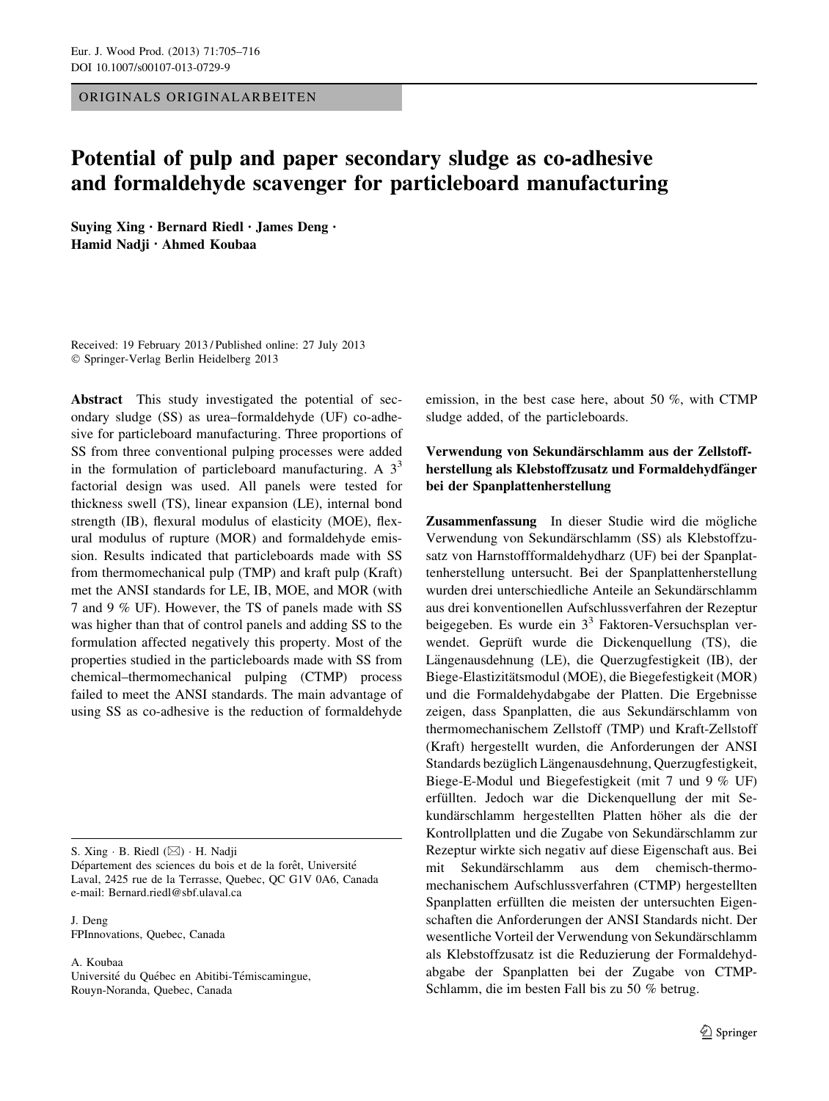ORIGINALS ORIGINALARBEITEN

# Potential of pulp and paper secondary sludge as co-adhesive and formaldehyde scavenger for particleboard manufacturing

Suying Xing • Bernard Riedl • James Deng • Hamid Nadji • Ahmed Koubaa

Received: 19 February 2013 / Published online: 27 July 2013 - Springer-Verlag Berlin Heidelberg 2013

Abstract This study investigated the potential of secondary sludge (SS) as urea–formaldehyde (UF) co-adhesive for particleboard manufacturing. Three proportions of SS from three conventional pulping processes were added in the formulation of particleboard manufacturing. A  $3<sup>3</sup>$ factorial design was used. All panels were tested for thickness swell (TS), linear expansion (LE), internal bond strength (IB), flexural modulus of elasticity (MOE), flexural modulus of rupture (MOR) and formaldehyde emission. Results indicated that particleboards made with SS from thermomechanical pulp (TMP) and kraft pulp (Kraft) met the ANSI standards for LE, IB, MOE, and MOR (with 7 and 9 % UF). However, the TS of panels made with SS was higher than that of control panels and adding SS to the formulation affected negatively this property. Most of the properties studied in the particleboards made with SS from chemical–thermomechanical pulping (CTMP) process failed to meet the ANSI standards. The main advantage of using SS as co-adhesive is the reduction of formaldehyde

S. Xing  $\cdot$  B. Riedl ( $\boxtimes$ )  $\cdot$  H. Nadji Département des sciences du bois et de la forêt, Université Laval, 2425 rue de la Terrasse, Quebec, QC G1V 0A6, Canada e-mail: Bernard.riedl@sbf.ulaval.ca

J. Deng FPInnovations, Quebec, Canada

A. Koubaa Université du Québec en Abitibi-Témiscamingue, Rouyn-Noranda, Quebec, Canada

emission, in the best case here, about 50 %, with CTMP sludge added, of the particleboards.

# Verwendung von Sekundärschlamm aus der Zellstoffherstellung als Klebstoffzusatz und Formaldehydfänger bei der Spanplattenherstellung

Zusammenfassung In dieser Studie wird die mögliche Verwendung von Sekundärschlamm (SS) als Klebstoffzusatz von Harnstoffformaldehydharz (UF) bei der Spanplattenherstellung untersucht. Bei der Spanplattenherstellung wurden drei unterschiedliche Anteile an Sekundärschlamm aus drei konventionellen Aufschlussverfahren der Rezeptur beigegeben. Es wurde ein  $3<sup>3</sup>$  Faktoren-Versuchsplan verwendet. Geprüft wurde die Dickenquellung (TS), die Längenausdehnung (LE), die Querzugfestigkeit (IB), der Biege-Elastizitätsmodul (MOE), die Biegefestigkeit (MOR) und die Formaldehydabgabe der Platten. Die Ergebnisse zeigen, dass Spanplatten, die aus Sekundärschlamm von thermomechanischem Zellstoff (TMP) und Kraft-Zellstoff (Kraft) hergestellt wurden, die Anforderungen der ANSI Standards bezüglich Längenausdehnung, Querzugfestigkeit, Biege-E-Modul und Biegefestigkeit (mit 7 und 9 % UF) erfüllten. Jedoch war die Dickenquellung der mit Sekundärschlamm hergestellten Platten höher als die der Kontrollplatten und die Zugabe von Sekundärschlamm zur Rezeptur wirkte sich negativ auf diese Eigenschaft aus. Bei mit Sekundärschlamm aus dem chemisch-thermomechanischem Aufschlussverfahren (CTMP) hergestellten Spanplatten erfüllten die meisten der untersuchten Eigenschaften die Anforderungen der ANSI Standards nicht. Der wesentliche Vorteil der Verwendung von Sekundärschlamm als Klebstoffzusatz ist die Reduzierung der Formaldehydabgabe der Spanplatten bei der Zugabe von CTMP-Schlamm, die im besten Fall bis zu 50 % betrug.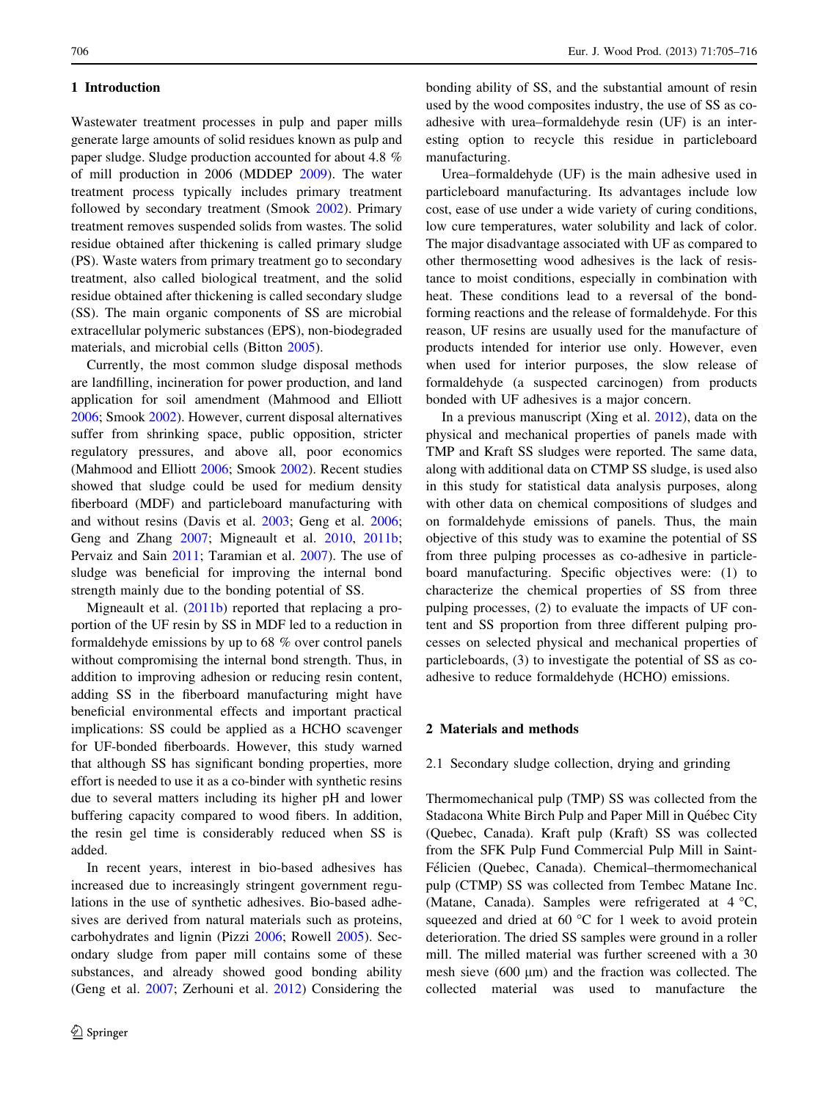#### 1 Introduction

Wastewater treatment processes in pulp and paper mills generate large amounts of solid residues known as pulp and paper sludge. Sludge production accounted for about 4.8 % of mill production in 2006 (MDDEP [2009](#page-10-0)). The water treatment process typically includes primary treatment followed by secondary treatment (Smook [2002](#page-11-0)). Primary treatment removes suspended solids from wastes. The solid residue obtained after thickening is called primary sludge (PS). Waste waters from primary treatment go to secondary treatment, also called biological treatment, and the solid residue obtained after thickening is called secondary sludge (SS). The main organic components of SS are microbial extracellular polymeric substances (EPS), non-biodegraded materials, and microbial cells (Bitton [2005\)](#page-10-0).

Currently, the most common sludge disposal methods are landfilling, incineration for power production, and land application for soil amendment (Mahmood and Elliott [2006;](#page-10-0) Smook [2002\)](#page-11-0). However, current disposal alternatives suffer from shrinking space, public opposition, stricter regulatory pressures, and above all, poor economics (Mahmood and Elliott [2006](#page-10-0); Smook [2002](#page-11-0)). Recent studies showed that sludge could be used for medium density fiberboard (MDF) and particleboard manufacturing with and without resins (Davis et al. [2003](#page-10-0); Geng et al. [2006](#page-10-0); Geng and Zhang [2007;](#page-10-0) Migneault et al. [2010](#page-11-0), [2011b](#page-11-0); Pervaiz and Sain [2011;](#page-11-0) Taramian et al. [2007\)](#page-11-0). The use of sludge was beneficial for improving the internal bond strength mainly due to the bonding potential of SS.

Migneault et al. [\(2011b](#page-11-0)) reported that replacing a proportion of the UF resin by SS in MDF led to a reduction in formaldehyde emissions by up to 68 % over control panels without compromising the internal bond strength. Thus, in addition to improving adhesion or reducing resin content, adding SS in the fiberboard manufacturing might have beneficial environmental effects and important practical implications: SS could be applied as a HCHO scavenger for UF-bonded fiberboards. However, this study warned that although SS has significant bonding properties, more effort is needed to use it as a co-binder with synthetic resins due to several matters including its higher pH and lower buffering capacity compared to wood fibers. In addition, the resin gel time is considerably reduced when SS is added.

In recent years, interest in bio-based adhesives has increased due to increasingly stringent government regulations in the use of synthetic adhesives. Bio-based adhesives are derived from natural materials such as proteins, carbohydrates and lignin (Pizzi [2006;](#page-11-0) Rowell [2005\)](#page-11-0). Secondary sludge from paper mill contains some of these substances, and already showed good bonding ability (Geng et al. [2007;](#page-10-0) Zerhouni et al. [2012\)](#page-11-0) Considering the bonding ability of SS, and the substantial amount of resin used by the wood composites industry, the use of SS as coadhesive with urea–formaldehyde resin (UF) is an interesting option to recycle this residue in particleboard manufacturing.

Urea–formaldehyde (UF) is the main adhesive used in particleboard manufacturing. Its advantages include low cost, ease of use under a wide variety of curing conditions, low cure temperatures, water solubility and lack of color. The major disadvantage associated with UF as compared to other thermosetting wood adhesives is the lack of resistance to moist conditions, especially in combination with heat. These conditions lead to a reversal of the bondforming reactions and the release of formaldehyde. For this reason, UF resins are usually used for the manufacture of products intended for interior use only. However, even when used for interior purposes, the slow release of formaldehyde (a suspected carcinogen) from products bonded with UF adhesives is a major concern.

In a previous manuscript (Xing et al. [2012](#page-11-0)), data on the physical and mechanical properties of panels made with TMP and Kraft SS sludges were reported. The same data, along with additional data on CTMP SS sludge, is used also in this study for statistical data analysis purposes, along with other data on chemical compositions of sludges and on formaldehyde emissions of panels. Thus, the main objective of this study was to examine the potential of SS from three pulping processes as co-adhesive in particleboard manufacturing. Specific objectives were: (1) to characterize the chemical properties of SS from three pulping processes, (2) to evaluate the impacts of UF content and SS proportion from three different pulping processes on selected physical and mechanical properties of particleboards, (3) to investigate the potential of SS as coadhesive to reduce formaldehyde (HCHO) emissions.

## 2 Materials and methods

#### 2.1 Secondary sludge collection, drying and grinding

Thermomechanical pulp (TMP) SS was collected from the Stadacona White Birch Pulp and Paper Mill in Québec City (Quebec, Canada). Kraft pulp (Kraft) SS was collected from the SFK Pulp Fund Commercial Pulp Mill in Saint-Félicien (Quebec, Canada). Chemical–thermomechanical pulp (CTMP) SS was collected from Tembec Matane Inc. (Matane, Canada). Samples were refrigerated at  $4^{\circ}C$ , squeezed and dried at 60  $\degree$ C for 1 week to avoid protein deterioration. The dried SS samples were ground in a roller mill. The milled material was further screened with a 30 mesh sieve  $(600 \mu m)$  and the fraction was collected. The collected material was used to manufacture the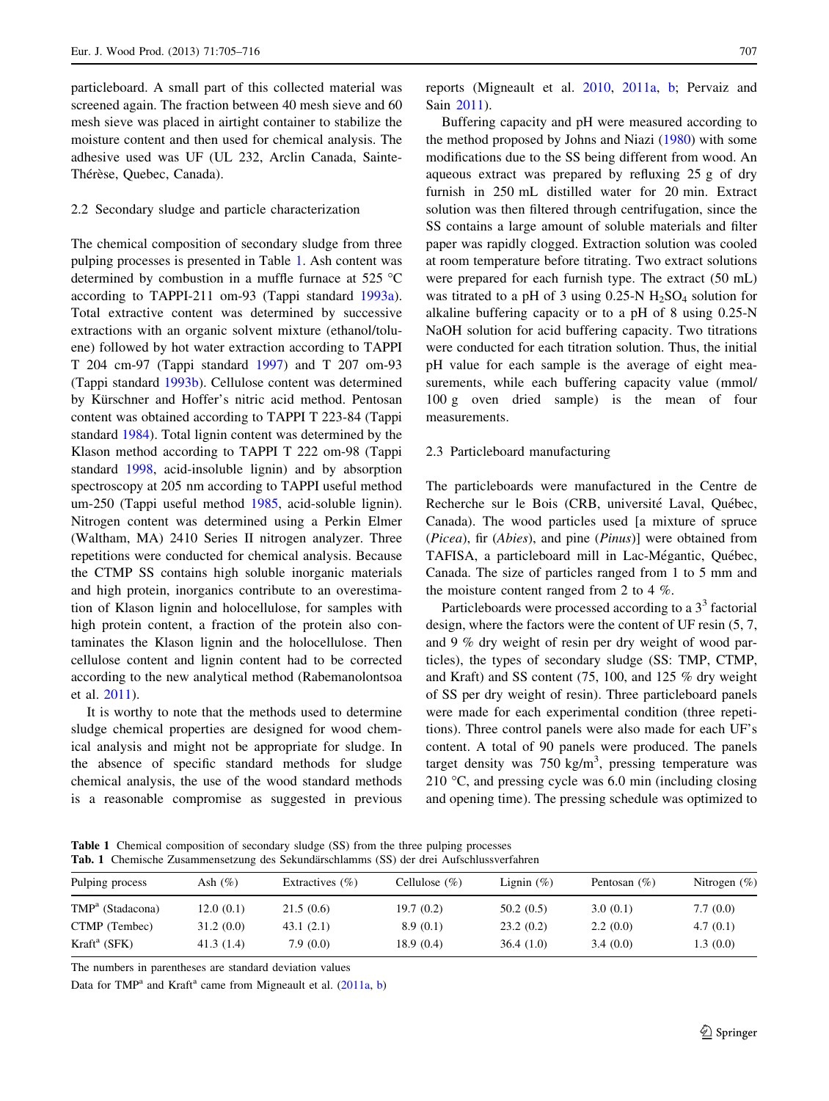<span id="page-2-0"></span>particleboard. A small part of this collected material was screened again. The fraction between 40 mesh sieve and 60 mesh sieve was placed in airtight container to stabilize the moisture content and then used for chemical analysis. The adhesive used was UF (UL 232, Arclin Canada, Sainte-Thérèse, Quebec, Canada).

#### 2.2 Secondary sludge and particle characterization

The chemical composition of secondary sludge from three pulping processes is presented in Table 1. Ash content was determined by combustion in a muffle furnace at 525  $^{\circ}$ C according to TAPPI-211 om-93 (Tappi standard [1993a](#page-11-0)). Total extractive content was determined by successive extractions with an organic solvent mixture (ethanol/toluene) followed by hot water extraction according to TAPPI T 204 cm-97 (Tappi standard [1997\)](#page-11-0) and T 207 om-93 (Tappi standard [1993b\)](#page-11-0). Cellulose content was determined by Kürschner and Hoffer's nitric acid method. Pentosan content was obtained according to TAPPI T 223-84 (Tappi standard [1984\)](#page-11-0). Total lignin content was determined by the Klason method according to TAPPI T 222 om-98 (Tappi standard [1998](#page-11-0), acid-insoluble lignin) and by absorption spectroscopy at 205 nm according to TAPPI useful method um-250 (Tappi useful method [1985](#page-11-0), acid-soluble lignin). Nitrogen content was determined using a Perkin Elmer (Waltham, MA) 2410 Series II nitrogen analyzer. Three repetitions were conducted for chemical analysis. Because the CTMP SS contains high soluble inorganic materials and high protein, inorganics contribute to an overestimation of Klason lignin and holocellulose, for samples with high protein content, a fraction of the protein also contaminates the Klason lignin and the holocellulose. Then cellulose content and lignin content had to be corrected according to the new analytical method (Rabemanolontsoa et al. [2011\)](#page-11-0).

It is worthy to note that the methods used to determine sludge chemical properties are designed for wood chemical analysis and might not be appropriate for sludge. In the absence of specific standard methods for sludge chemical analysis, the use of the wood standard methods is a reasonable compromise as suggested in previous reports (Migneault et al. [2010,](#page-11-0) [2011a,](#page-11-0) [b](#page-11-0); Pervaiz and Sain [2011\)](#page-11-0).

Buffering capacity and pH were measured according to the method proposed by Johns and Niazi ([1980\)](#page-10-0) with some modifications due to the SS being different from wood. An aqueous extract was prepared by refluxing 25 g of dry furnish in 250 mL distilled water for 20 min. Extract solution was then filtered through centrifugation, since the SS contains a large amount of soluble materials and filter paper was rapidly clogged. Extraction solution was cooled at room temperature before titrating. Two extract solutions were prepared for each furnish type. The extract (50 mL) was titrated to a pH of 3 using  $0.25 \text{-N H}_2\text{SO}_4$  solution for alkaline buffering capacity or to a pH of 8 using 0.25-N NaOH solution for acid buffering capacity. Two titrations were conducted for each titration solution. Thus, the initial pH value for each sample is the average of eight measurements, while each buffering capacity value (mmol/ 100 g oven dried sample) is the mean of four measurements.

#### 2.3 Particleboard manufacturing

The particleboards were manufactured in the Centre de Recherche sur le Bois (CRB, université Laval, Québec, Canada). The wood particles used [a mixture of spruce (Picea), fir (Abies), and pine (Pinus)] were obtained from TAFISA, a particleboard mill in Lac-Mégantic, Québec, Canada. The size of particles ranged from 1 to 5 mm and the moisture content ranged from 2 to 4 %.

Particleboards were processed according to a  $3<sup>3</sup>$  factorial design, where the factors were the content of UF resin (5, 7, and 9 % dry weight of resin per dry weight of wood particles), the types of secondary sludge (SS: TMP, CTMP, and Kraft) and SS content (75, 100, and 125 % dry weight of SS per dry weight of resin). Three particleboard panels were made for each experimental condition (three repetitions). Three control panels were also made for each UF's content. A total of 90 panels were produced. The panels target density was  $750 \text{ kg/m}^3$ , pressing temperature was 210  $\degree$ C, and pressing cycle was 6.0 min (including closing and opening time). The pressing schedule was optimized to

Table 1 Chemical composition of secondary sludge (SS) from the three pulping processes Tab. 1 Chemische Zusammensetzung des Sekundärschlamms (SS) der drei Aufschlussverfahren

| Pulping process              | Ash $(\%)$ | Extractives $(\% )$ | Cellulose $(\%)$ | Lignin $(\%)$ | Pentosan $(\% )$ | Nitrogen $(\%)$ |
|------------------------------|------------|---------------------|------------------|---------------|------------------|-----------------|
| TMP <sup>a</sup> (Stadacona) | 12.0(0.1)  | 21.5(0.6)           | 19.7(0.2)        | 50.2(0.5)     | 3.0(0.1)         | 7.7(0.0)        |
| CTMP (Tembec)                | 31.2(0.0)  | 43.1(2.1)           | 8.9(0.1)         | 23.2(0.2)     | 2.2(0.0)         | 4.7(0.1)        |
| Kraft <sup>a</sup> (SFK)     | 41.3(1.4)  | 7.9(0.0)            | 18.9(0.4)        | 36.4(1.0)     | 3.4(0.0)         | 1.3(0.0)        |

The numbers in parentheses are standard deviation values

Data for TMP<sup>a</sup> and Kraft<sup>a</sup> came from Migneault et al. [\(2011a,](#page-11-0) [b](#page-11-0))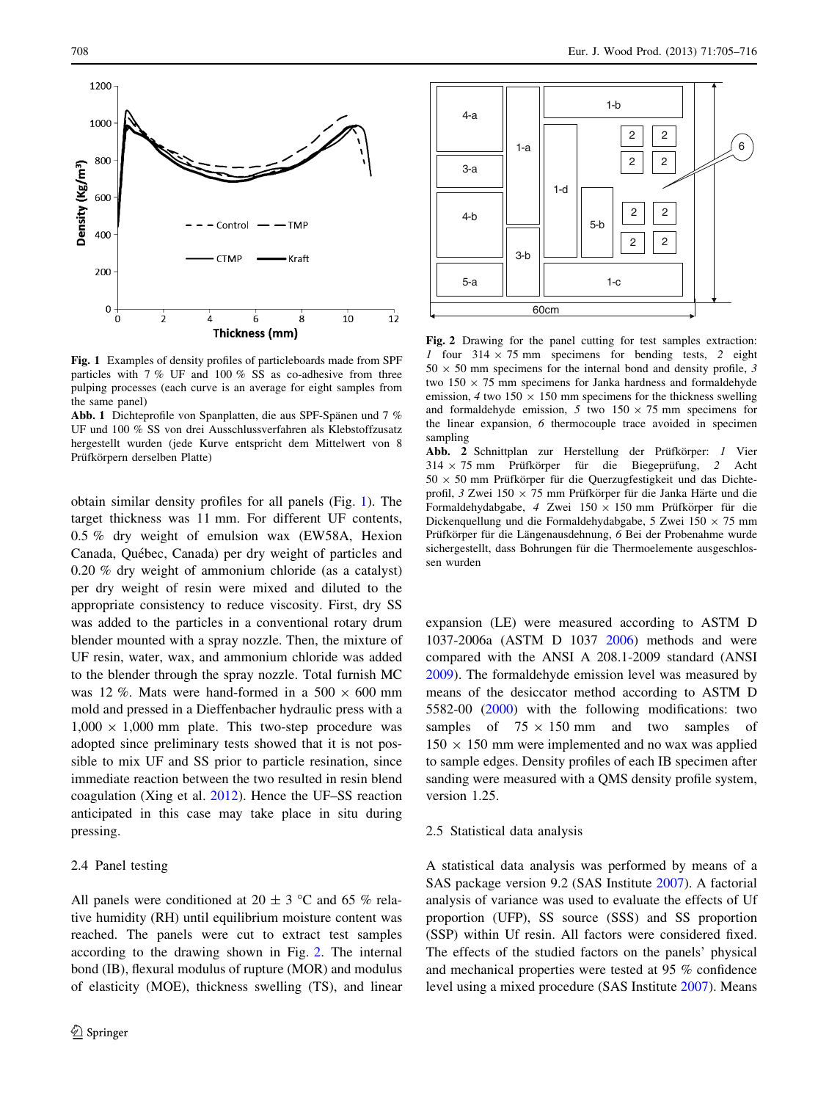

Fig. 1 Examples of density profiles of particleboards made from SPF particles with 7 % UF and 100 % SS as co-adhesive from three pulping processes (each curve is an average for eight samples from the same panel)

Abb. 1 Dichteprofile von Spanplatten, die aus SPF-Spänen und 7 % UF und 100 % SS von drei Ausschlussverfahren als Klebstoffzusatz hergestellt wurden (jede Kurve entspricht dem Mittelwert von 8 Prüfkörpern derselben Platte)

obtain similar density profiles for all panels (Fig. 1). The target thickness was 11 mm. For different UF contents, 0.5 % dry weight of emulsion wax (EW58A, Hexion Canada, Québec, Canada) per dry weight of particles and 0.20 % dry weight of ammonium chloride (as a catalyst) per dry weight of resin were mixed and diluted to the appropriate consistency to reduce viscosity. First, dry SS was added to the particles in a conventional rotary drum blender mounted with a spray nozzle. Then, the mixture of UF resin, water, wax, and ammonium chloride was added to the blender through the spray nozzle. Total furnish MC was 12 %. Mats were hand-formed in a  $500 \times 600$  mm mold and pressed in a Dieffenbacher hydraulic press with a  $1,000 \times 1,000$  mm plate. This two-step procedure was adopted since preliminary tests showed that it is not possible to mix UF and SS prior to particle resination, since immediate reaction between the two resulted in resin blend coagulation (Xing et al. [2012](#page-11-0)). Hence the UF–SS reaction anticipated in this case may take place in situ during pressing.

## 2.4 Panel testing

All panels were conditioned at  $20 \pm 3$  °C and 65 % relative humidity (RH) until equilibrium moisture content was reached. The panels were cut to extract test samples according to the drawing shown in Fig. 2. The internal bond (IB), flexural modulus of rupture (MOR) and modulus of elasticity (MOE), thickness swelling (TS), and linear



Fig. 2 Drawing for the panel cutting for test samples extraction: 1 four  $314 \times 75$  mm specimens for bending tests, 2 eight  $50 \times 50$  mm specimens for the internal bond and density profile, 3 two  $150 \times 75$  mm specimens for Janka hardness and formaldehyde emission, 4 two 150  $\times$  150 mm specimens for the thickness swelling and formaldehyde emission, 5 two  $150 \times 75$  mm specimens for the linear expansion, 6 thermocouple trace avoided in specimen sampling

Abb. 2 Schnittplan zur Herstellung der Prüfkörper: 1 Vier  $314 \times 75$  mm Prüfkörper für die Biegeprüfung, 2 Acht  $50 \times 50$  mm Prüfkörper für die Querzugfestigkeit und das Dichteprofil, 3 Zwei 150  $\times$  75 mm Prüfkörper für die Janka Härte und die Formaldehydabgabe, 4 Zwei 150 × 150 mm Prüfkörper für die Dickenquellung und die Formaldehydabgabe, 5 Zwei  $150 \times 75$  mm Prüfkörper für die Längenausdehnung, 6 Bei der Probenahme wurde sichergestellt, dass Bohrungen für die Thermoelemente ausgeschlossen wurden

expansion (LE) were measured according to ASTM D 1037-2006a (ASTM D 1037 [2006](#page-10-0)) methods and were compared with the ANSI A 208.1-2009 standard (ANSI [2009](#page-10-0)). The formaldehyde emission level was measured by means of the desiccator method according to ASTM D 5582-00 ([2000\)](#page-10-0) with the following modifications: two samples of  $75 \times 150$  mm and two samples of  $150 \times 150$  mm were implemented and no wax was applied to sample edges. Density profiles of each IB specimen after sanding were measured with a QMS density profile system, version 1.25.

#### 2.5 Statistical data analysis

A statistical data analysis was performed by means of a SAS package version 9.2 (SAS Institute [2007\)](#page-11-0). A factorial analysis of variance was used to evaluate the effects of Uf proportion (UFP), SS source (SSS) and SS proportion (SSP) within Uf resin. All factors were considered fixed. The effects of the studied factors on the panels' physical and mechanical properties were tested at 95 % confidence level using a mixed procedure (SAS Institute [2007](#page-11-0)). Means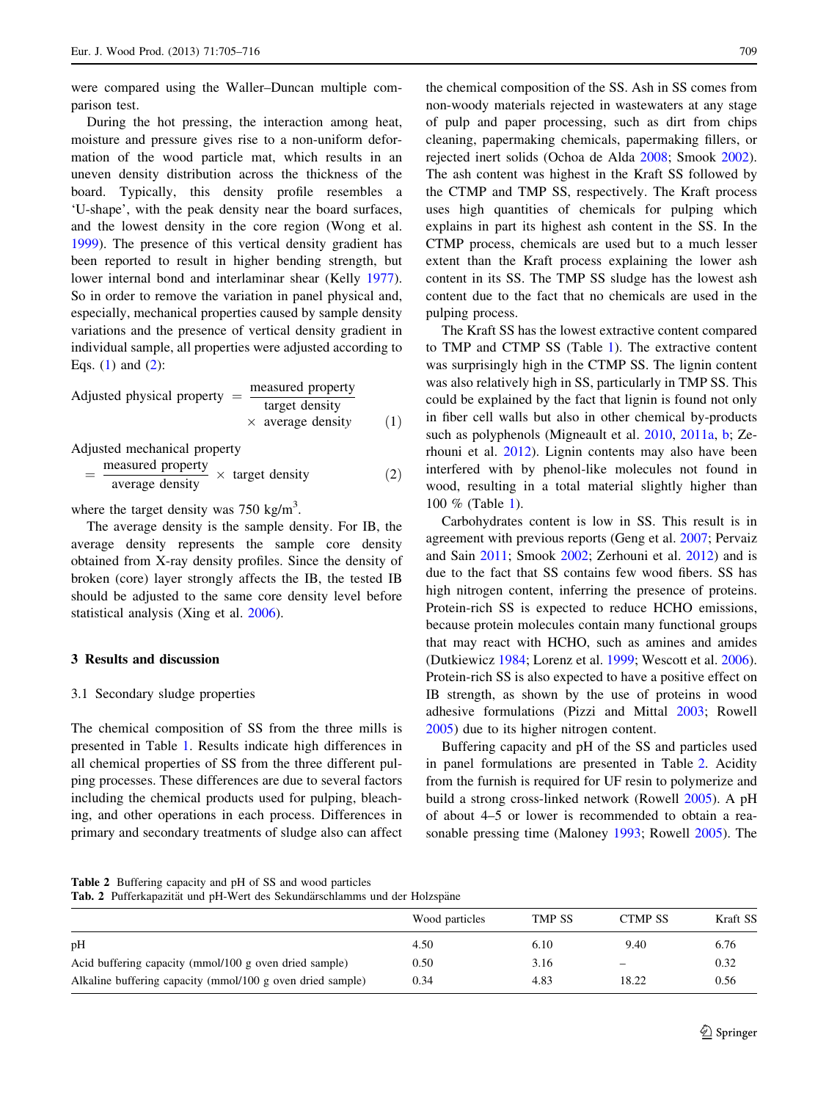<span id="page-4-0"></span>were compared using the Waller–Duncan multiple comparison test.

During the hot pressing, the interaction among heat, moisture and pressure gives rise to a non-uniform deformation of the wood particle mat, which results in an uneven density distribution across the thickness of the board. Typically, this density profile resembles a 'U-shape', with the peak density near the board surfaces, and the lowest density in the core region (Wong et al. [1999\)](#page-11-0). The presence of this vertical density gradient has been reported to result in higher bending strength, but lower internal bond and interlaminar shear (Kelly [1977](#page-10-0)). So in order to remove the variation in panel physical and, especially, mechanical properties caused by sample density variations and the presence of vertical density gradient in individual sample, all properties were adjusted according to Eqs. (1) and (2):

Adjusted physical property  $=$  measured property target density  $\times$  average density (1)

Adjusted mechanical property

$$
= \frac{\text{measured property}}{\text{average density}} \times \text{target density} \tag{2}
$$

where the target density was  $750 \text{ kg/m}^3$ .

The average density is the sample density. For IB, the average density represents the sample core density obtained from X-ray density profiles. Since the density of broken (core) layer strongly affects the IB, the tested IB should be adjusted to the same core density level before statistical analysis (Xing et al. [2006](#page-11-0)).

## 3 Results and discussion

#### 3.1 Secondary sludge properties

The chemical composition of SS from the three mills is presented in Table [1](#page-2-0). Results indicate high differences in all chemical properties of SS from the three different pulping processes. These differences are due to several factors including the chemical products used for pulping, bleaching, and other operations in each process. Differences in primary and secondary treatments of sludge also can affect the chemical composition of the SS. Ash in SS comes from non-woody materials rejected in wastewaters at any stage of pulp and paper processing, such as dirt from chips cleaning, papermaking chemicals, papermaking fillers, or rejected inert solids (Ochoa de Alda [2008](#page-11-0); Smook [2002](#page-11-0)). The ash content was highest in the Kraft SS followed by the CTMP and TMP SS, respectively. The Kraft process uses high quantities of chemicals for pulping which explains in part its highest ash content in the SS. In the CTMP process, chemicals are used but to a much lesser extent than the Kraft process explaining the lower ash content in its SS. The TMP SS sludge has the lowest ash content due to the fact that no chemicals are used in the pulping process.

The Kraft SS has the lowest extractive content compared to TMP and CTMP SS (Table [1\)](#page-2-0). The extractive content was surprisingly high in the CTMP SS. The lignin content was also relatively high in SS, particularly in TMP SS. This could be explained by the fact that lignin is found not only in fiber cell walls but also in other chemical by-products such as polyphenols (Migneault et al. [2010](#page-11-0), [2011a](#page-11-0), [b](#page-11-0); Zerhouni et al. [2012\)](#page-11-0). Lignin contents may also have been interfered with by phenol-like molecules not found in wood, resulting in a total material slightly higher than 100 % (Table [1\)](#page-2-0).

Carbohydrates content is low in SS. This result is in agreement with previous reports (Geng et al. [2007;](#page-10-0) Pervaiz and Sain [2011](#page-11-0); Smook [2002;](#page-11-0) Zerhouni et al. [2012](#page-11-0)) and is due to the fact that SS contains few wood fibers. SS has high nitrogen content, inferring the presence of proteins. Protein-rich SS is expected to reduce HCHO emissions, because protein molecules contain many functional groups that may react with HCHO, such as amines and amides (Dutkiewicz [1984](#page-10-0); Lorenz et al. [1999;](#page-10-0) Wescott et al. [2006](#page-11-0)). Protein-rich SS is also expected to have a positive effect on IB strength, as shown by the use of proteins in wood adhesive formulations (Pizzi and Mittal [2003](#page-11-0); Rowell [2005](#page-11-0)) due to its higher nitrogen content.

Buffering capacity and pH of the SS and particles used in panel formulations are presented in Table 2. Acidity from the furnish is required for UF resin to polymerize and build a strong cross-linked network (Rowell [2005\)](#page-11-0). A pH of about 4–5 or lower is recommended to obtain a reasonable pressing time (Maloney [1993;](#page-10-0) Rowell [2005](#page-11-0)). The

Table 2 Buffering capacity and pH of SS and wood particles

Tab. 2 Pufferkapazität und pH-Wert des Sekundärschlamms und der Holzspäne

|                                                            | Wood particles | <b>TMP SS</b> | <b>CTMP SS</b> | Kraft SS |
|------------------------------------------------------------|----------------|---------------|----------------|----------|
| pΗ                                                         | 4.50           | 6.10          | 9.40           | 6.76     |
| Acid buffering capacity (mmol/100 g oven dried sample)     | 0.50           | 3.16          | -              | 0.32     |
| Alkaline buffering capacity (mmol/100 g oven dried sample) | 0.34           | 4.83          | 18.22          | 0.56     |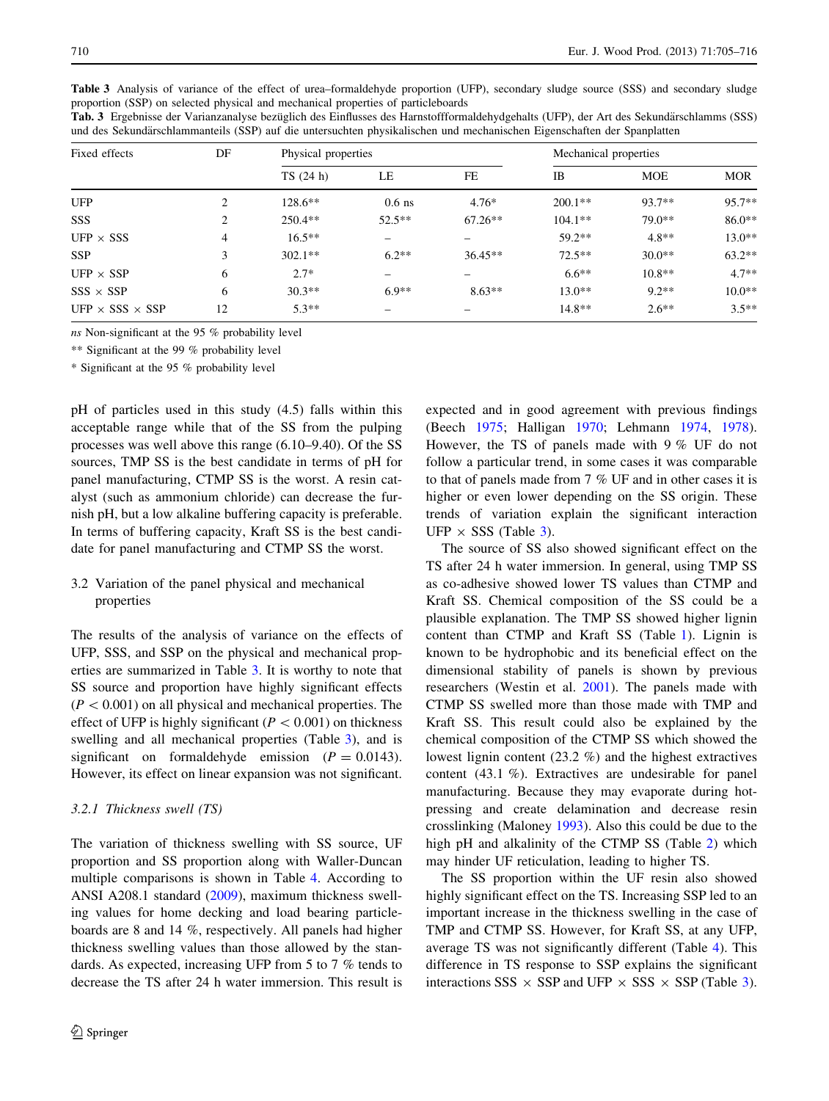| und des Sekundärschlammanteils (SSP) auf die untersuchten physikalischen und mechanischen Eigenschaften der Spanplatten |                     |          |           |                       |            |            |  |  |  |
|-------------------------------------------------------------------------------------------------------------------------|---------------------|----------|-----------|-----------------------|------------|------------|--|--|--|
| DF                                                                                                                      | Physical properties |          |           | Mechanical properties |            |            |  |  |  |
|                                                                                                                         | TS (24 h)           | LE       | FE        | IB                    | <b>MOE</b> | <b>MOR</b> |  |  |  |
|                                                                                                                         | $128.6**$           | $0.6$ ns | $4.76*$   | $200.1**$             | $93.7**$   | $95.7**$   |  |  |  |
|                                                                                                                         | $250.4**$           | $52.5**$ | $67.26**$ | $104.1**$             | $79.0**$   | $86.0**$   |  |  |  |
| $\overline{4}$                                                                                                          | $16.5**$            |          |           | $59.2**$              | $4.8**$    | $13.0**$   |  |  |  |
|                                                                                                                         | $302.1**$           | $6.2**$  | $36.45**$ | $72.5**$              | $30.0**$   | $63.2**$   |  |  |  |
| 6                                                                                                                       | $2.7*$              |          |           | $6.6**$               | $10.8**$   | $4.7**$    |  |  |  |
| 6                                                                                                                       | $30.3**$            | $6.9**$  | $8.63**$  | $13.0**$              | $9.2**$    | $10.0**$   |  |  |  |
| 12                                                                                                                      | $5.3**$             |          |           | $14.8**$              | $2.6**$    | $3.5**$    |  |  |  |
|                                                                                                                         |                     |          |           |                       |            |            |  |  |  |

<span id="page-5-0"></span>Table 3 Analysis of variance of the effect of urea–formaldehyde proportion (UFP), secondary sludge source (SSS) and secondary sludge proportion (SSP) on selected physical and mechanical properties of particleboards

|  | proportion (551) on selected physical and meetinmeal properties of particleocards                                                       |  |  |  |
|--|-----------------------------------------------------------------------------------------------------------------------------------------|--|--|--|
|  | Tab. 3 Ergebnisse der Varianzanalyse bezüglich des Einflusses des Harnstoffformaldehydgehalts (UFP), der Art des Sekundärschlamms (SSS) |  |  |  |
|  | that the Calmedy and have been completed the correction of the fields of the dealership of the control of the Carolina of               |  |  |  |

ns Non-significant at the 95 % probability level

\*\* Significant at the 99 % probability level

\* Significant at the 95 % probability level

pH of particles used in this study (4.5) falls within this acceptable range while that of the SS from the pulping processes was well above this range (6.10–9.40). Of the SS sources, TMP SS is the best candidate in terms of pH for panel manufacturing, CTMP SS is the worst. A resin catalyst (such as ammonium chloride) can decrease the furnish pH, but a low alkaline buffering capacity is preferable. In terms of buffering capacity, Kraft SS is the best candidate for panel manufacturing and CTMP SS the worst.

# 3.2 Variation of the panel physical and mechanical properties

The results of the analysis of variance on the effects of UFP, SSS, and SSP on the physical and mechanical properties are summarized in Table 3. It is worthy to note that SS source and proportion have highly significant effects  $(P<0.001)$  on all physical and mechanical properties. The effect of UFP is highly significant ( $P < 0.001$ ) on thickness swelling and all mechanical properties (Table 3), and is significant on formaldehyde emission  $(P = 0.0143)$ . However, its effect on linear expansion was not significant.

## 3.2.1 Thickness swell (TS)

The variation of thickness swelling with SS source, UF proportion and SS proportion along with Waller-Duncan multiple comparisons is shown in Table [4](#page-6-0). According to ANSI A208.1 standard [\(2009\)](#page-10-0), maximum thickness swelling values for home decking and load bearing particleboards are 8 and 14 %, respectively. All panels had higher thickness swelling values than those allowed by the standards. As expected, increasing UFP from 5 to 7 % tends to decrease the TS after 24 h water immersion. This result is expected and in good agreement with previous findings (Beech [1975;](#page-10-0) Halligan [1970;](#page-10-0) Lehmann [1974,](#page-10-0) [1978](#page-10-0)). However, the TS of panels made with 9 % UF do not follow a particular trend, in some cases it was comparable to that of panels made from 7 % UF and in other cases it is higher or even lower depending on the SS origin. These trends of variation explain the significant interaction UFP  $\times$  SSS (Table 3).

The source of SS also showed significant effect on the TS after 24 h water immersion. In general, using TMP SS as co-adhesive showed lower TS values than CTMP and Kraft SS. Chemical composition of the SS could be a plausible explanation. The TMP SS showed higher lignin content than CTMP and Kraft SS (Table [1](#page-2-0)). Lignin is known to be hydrophobic and its beneficial effect on the dimensional stability of panels is shown by previous researchers (Westin et al. [2001\)](#page-11-0). The panels made with CTMP SS swelled more than those made with TMP and Kraft SS. This result could also be explained by the chemical composition of the CTMP SS which showed the lowest lignin content (23.2 %) and the highest extractives content (43.1 %). Extractives are undesirable for panel manufacturing. Because they may evaporate during hotpressing and create delamination and decrease resin crosslinking (Maloney [1993](#page-10-0)). Also this could be due to the high pH and alkalinity of the CTMP SS (Table [2\)](#page-4-0) which may hinder UF reticulation, leading to higher TS.

The SS proportion within the UF resin also showed highly significant effect on the TS. Increasing SSP led to an important increase in the thickness swelling in the case of TMP and CTMP SS. However, for Kraft SS, at any UFP, average TS was not significantly different (Table [4](#page-6-0)). This difference in TS response to SSP explains the significant interactions SSS  $\times$  SSP and UFP  $\times$  SSS  $\times$  SSP (Table 3).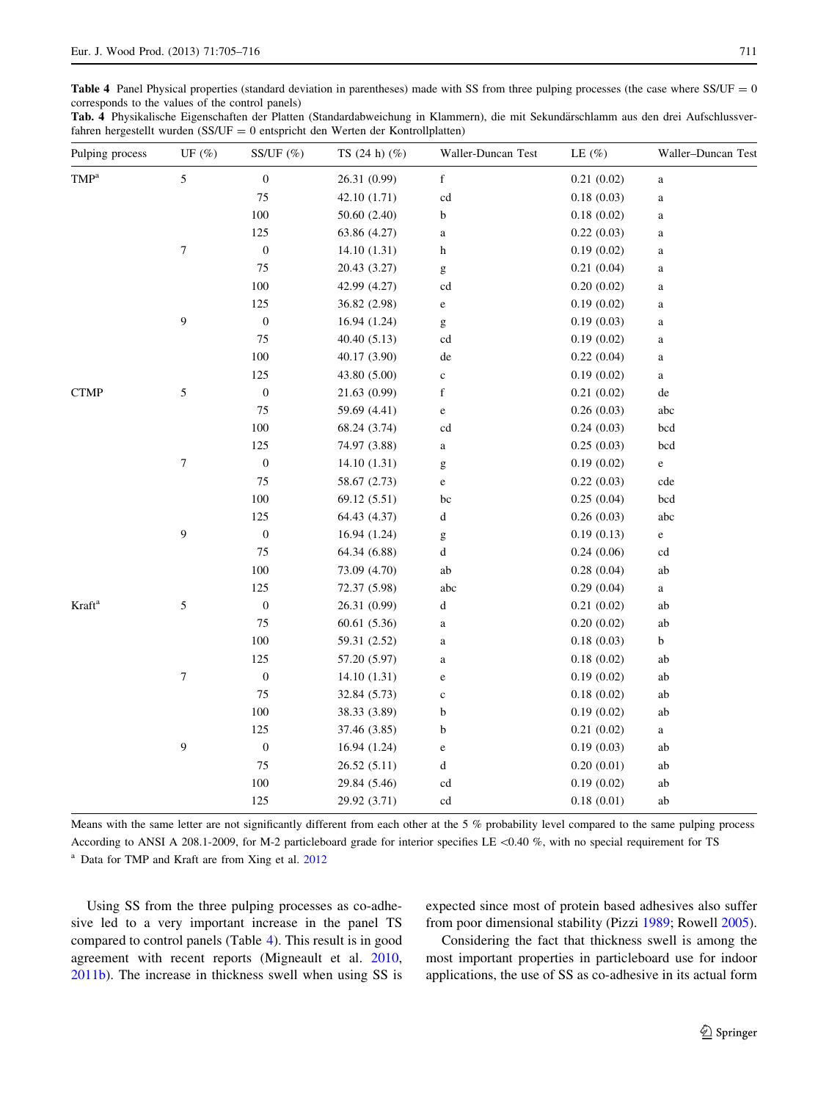<span id="page-6-0"></span>**Table 4** Panel Physical properties (standard deviation in parentheses) made with SS from three pulping processes (the case where SS/UF  $= 0$ corresponds to the values of the control panels)

Tab. 4 Physikalische Eigenschaften der Platten (Standardabweichung in Klammern), die mit Sekundärschlamm aus den drei Aufschlussverfahren hergestellt wurden (SS/UF = 0 entspricht den Werten der Kontrollplatten)

| Pulping process    | UF $(\% )$ | SS/UF $(\%)$     | TS $(24 h)$ $(\%)$ | Waller-Duncan Test                | LE $(\% )$ | Waller-Duncan Test |
|--------------------|------------|------------------|--------------------|-----------------------------------|------------|--------------------|
| $TMP^a$            | 5          | $\boldsymbol{0}$ | 26.31 (0.99)       | $\mathbf f$                       | 0.21(0.02) | $\rm{a}$           |
|                    |            | 75               | 42.10 (1.71)       | $\ensuremath{\text{cd}}$          | 0.18(0.03) | a                  |
|                    |            | 100              | 50.60 (2.40)       | b                                 | 0.18(0.02) | $\rm{a}$           |
|                    |            | 125              | 63.86 (4.27)       | $\rm{a}$                          | 0.22(0.03) | $\rm{a}$           |
|                    | $\sqrt{ }$ | $\boldsymbol{0}$ | 14.10(1.31)        | h                                 | 0.19(0.02) | $\rm{a}$           |
|                    |            | 75               | 20.43 (3.27)       | g                                 | 0.21(0.04) | $\rm{a}$           |
|                    |            | 100              | 42.99 (4.27)       | cd                                | 0.20(0.02) | $\rm{a}$           |
|                    |            | 125              | 36.82 (2.98)       | $\mathbf e$                       | 0.19(0.02) | $\rm{a}$           |
|                    | 9          | $\boldsymbol{0}$ | 16.94 (1.24)       | g                                 | 0.19(0.03) | a                  |
|                    |            | 75               | 40.40(5.13)        | cd                                | 0.19(0.02) | a                  |
|                    |            | 100              | 40.17 (3.90)       | de                                | 0.22(0.04) | $\rm{a}$           |
|                    |            | 125              | 43.80 (5.00)       | $\mathbf c$                       | 0.19(0.02) | $\rm{a}$           |
| <b>CTMP</b>        | 5          | $\boldsymbol{0}$ | 21.63 (0.99)       | $\mathbf f$                       | 0.21(0.02) | de                 |
|                    |            | 75               | 59.69 (4.41)       | ${\bf e}$                         | 0.26(0.03) | abc                |
|                    |            | 100              | 68.24 (3.74)       | cd                                | 0.24(0.03) | bcd                |
|                    |            | 125              | 74.97 (3.88)       | $\rm{a}$                          | 0.25(0.03) | bcd                |
|                    | $\sqrt{ }$ | $\boldsymbol{0}$ | 14.10(1.31)        | g                                 | 0.19(0.02) | $\rm e$            |
|                    |            | 75               | 58.67 (2.73)       | $\mathbf{e}% _{t}\left( t\right)$ | 0.22(0.03) | cde                |
|                    |            | 100              | 69.12 (5.51)       | bc                                | 0.25(0.04) | bcd                |
|                    |            | 125              | 64.43 (4.37)       | $\mathbf d$                       | 0.26(0.03) | abc                |
|                    | 9          | $\boldsymbol{0}$ | 16.94 (1.24)       | g                                 | 0.19(0.13) | ${\bf e}$          |
|                    |            | 75               | 64.34 (6.88)       | d                                 | 0.24(0.06) | cd                 |
|                    |            | 100              | 73.09 (4.70)       | ab                                | 0.28(0.04) | ab                 |
|                    |            | 125              | 72.37 (5.98)       | abc                               | 0.29(0.04) | $\rm{a}$           |
| Kraft <sup>a</sup> | 5          | $\boldsymbol{0}$ | 26.31 (0.99)       | d                                 | 0.21(0.02) | ab                 |
|                    |            | 75               | 60.61(5.36)        | $\rm{a}$                          | 0.20(0.02) | ab                 |
|                    |            | 100              | 59.31 (2.52)       | $\rm{a}$                          | 0.18(0.03) | b                  |
|                    |            | 125              | 57.20 (5.97)       | $\rm{a}$                          | 0.18(0.02) | ab                 |
|                    | $\sqrt{ }$ | $\boldsymbol{0}$ | 14.10(1.31)        | $\mathbf e$                       | 0.19(0.02) | ab                 |
|                    |            | 75               | 32.84 (5.73)       | $\mathbf c$                       | 0.18(0.02) | ab                 |
|                    |            | 100              | 38.33 (3.89)       | b                                 | 0.19(0.02) | ab                 |
|                    |            | 125              | 37.46 (3.85)       | b                                 | 0.21(0.02) | $\mathbf{a}$       |
|                    | 9          | $\boldsymbol{0}$ | 16.94(1.24)        | ${\bf e}$                         | 0.19(0.03) | ab                 |
|                    |            | 75               | 26.52(5.11)        | d                                 | 0.20(0.01) | ab                 |
|                    |            | 100              | 29.84 (5.46)       | cd                                | 0.19(0.02) | ab                 |
|                    |            | 125              | 29.92 (3.71)       | cd                                | 0.18(0.01) | ab                 |

Means with the same letter are not significantly different from each other at the 5 % probability level compared to the same pulping process According to ANSI A 208.1-2009, for M-2 particleboard grade for interior specifies LE <0.40 %, with no special requirement for TS <sup>a</sup> Data for TMP and Kraft are from Xing et al. [2012](#page-11-0)

Using SS from the three pulping processes as co-adhesive led to a very important increase in the panel TS compared to control panels (Table 4). This result is in good agreement with recent reports (Migneault et al. [2010,](#page-11-0) [2011b\)](#page-11-0). The increase in thickness swell when using SS is expected since most of protein based adhesives also suffer from poor dimensional stability (Pizzi [1989;](#page-11-0) Rowell [2005](#page-11-0)).

Considering the fact that thickness swell is among the most important properties in particleboard use for indoor applications, the use of SS as co-adhesive in its actual form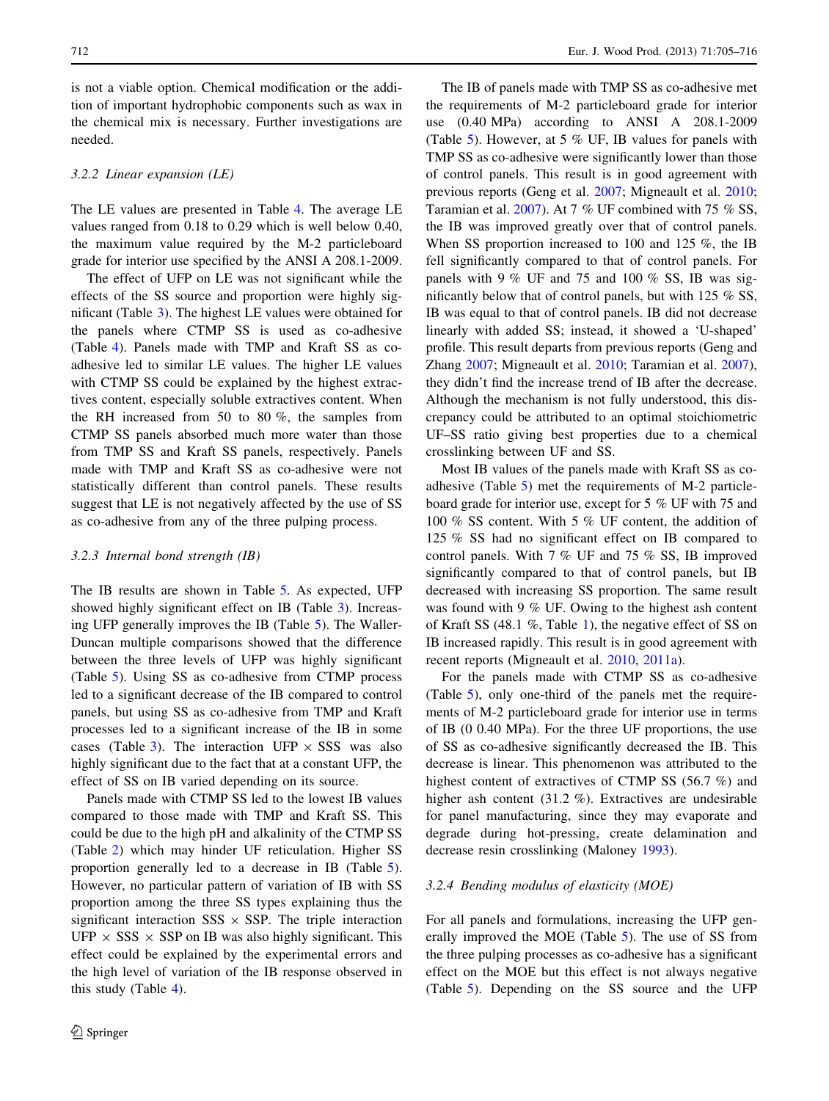is not a viable option. Chemical modification or the addition of important hydrophobic components such as wax in the chemical mix is necessary. Further investigations are needed.

## 3.2.2 Linear expansion (LE)

The LE values are presented in Table [4](#page-6-0). The average LE values ranged from 0.18 to 0.29 which is well below 0.40, the maximum value required by the M-2 particleboard grade for interior use specified by the ANSI A 208.1-2009.

The effect of UFP on LE was not significant while the effects of the SS source and proportion were highly significant (Table [3](#page-5-0)). The highest LE values were obtained for the panels where CTMP SS is used as co-adhesive (Table [4](#page-6-0)). Panels made with TMP and Kraft SS as coadhesive led to similar LE values. The higher LE values with CTMP SS could be explained by the highest extractives content, especially soluble extractives content. When the RH increased from 50 to 80 %, the samples from CTMP SS panels absorbed much more water than those from TMP SS and Kraft SS panels, respectively. Panels made with TMP and Kraft SS as co-adhesive were not statistically different than control panels. These results suggest that LE is not negatively affected by the use of SS as co-adhesive from any of the three pulping process.

#### 3.2.3 Internal bond strength (IB)

The IB results are shown in Table [5](#page-8-0). As expected, UFP showed highly significant effect on IB (Table [3\)](#page-5-0). Increasing UFP generally improves the IB (Table [5](#page-8-0)). The Waller-Duncan multiple comparisons showed that the difference between the three levels of UFP was highly significant (Table [5](#page-8-0)). Using SS as co-adhesive from CTMP process led to a significant decrease of the IB compared to control panels, but using SS as co-adhesive from TMP and Kraft processes led to a significant increase of the IB in some cases (Table [3\)](#page-5-0). The interaction UFP  $\times$  SSS was also highly significant due to the fact that at a constant UFP, the effect of SS on IB varied depending on its source.

Panels made with CTMP SS led to the lowest IB values compared to those made with TMP and Kraft SS. This could be due to the high pH and alkalinity of the CTMP SS (Table [2](#page-4-0)) which may hinder UF reticulation. Higher SS proportion generally led to a decrease in IB (Table [5](#page-8-0)). However, no particular pattern of variation of IB with SS proportion among the three SS types explaining thus the significant interaction  $SSS \times SSP$ . The triple interaction UFP  $\times$  SSS  $\times$  SSP on IB was also highly significant. This effect could be explained by the experimental errors and the high level of variation of the IB response observed in this study (Table [4](#page-6-0)).

The IB of panels made with TMP SS as co-adhesive met the requirements of M-2 particleboard grade for interior use (0.40 MPa) according to ANSI A 208.1-2009 (Table [5\)](#page-8-0). However, at 5 % UF, IB values for panels with TMP SS as co-adhesive were significantly lower than those of control panels. This result is in good agreement with previous reports (Geng et al. [2007](#page-10-0); Migneault et al. [2010](#page-11-0); Taramian et al. [2007](#page-11-0)). At 7 % UF combined with 75 % SS, the IB was improved greatly over that of control panels. When SS proportion increased to 100 and 125 %, the IB fell significantly compared to that of control panels. For panels with 9 % UF and 75 and 100 % SS, IB was significantly below that of control panels, but with 125 % SS, IB was equal to that of control panels. IB did not decrease linearly with added SS; instead, it showed a 'U-shaped' profile. This result departs from previous reports (Geng and Zhang [2007;](#page-10-0) Migneault et al. [2010;](#page-11-0) Taramian et al. [2007](#page-11-0)), they didn't find the increase trend of IB after the decrease. Although the mechanism is not fully understood, this discrepancy could be attributed to an optimal stoichiometric UF–SS ratio giving best properties due to a chemical crosslinking between UF and SS.

Most IB values of the panels made with Kraft SS as coadhesive (Table [5](#page-8-0)) met the requirements of M-2 particleboard grade for interior use, except for 5 % UF with 75 and 100 % SS content. With 5 % UF content, the addition of 125 % SS had no significant effect on IB compared to control panels. With 7 % UF and 75 % SS, IB improved significantly compared to that of control panels, but IB decreased with increasing SS proportion. The same result was found with 9 % UF. Owing to the highest ash content of Kraft SS (48.1 %, Table [1\)](#page-2-0), the negative effect of SS on IB increased rapidly. This result is in good agreement with recent reports (Migneault et al. [2010,](#page-11-0) [2011a\)](#page-11-0).

For the panels made with CTMP SS as co-adhesive (Table [5\)](#page-8-0), only one-third of the panels met the requirements of M-2 particleboard grade for interior use in terms of IB (0 0.40 MPa). For the three UF proportions, the use of SS as co-adhesive significantly decreased the IB. This decrease is linear. This phenomenon was attributed to the highest content of extractives of CTMP SS (56.7 %) and higher ash content (31.2 %). Extractives are undesirable for panel manufacturing, since they may evaporate and degrade during hot-pressing, create delamination and decrease resin crosslinking (Maloney [1993](#page-10-0)).

#### 3.2.4 Bending modulus of elasticity (MOE)

For all panels and formulations, increasing the UFP generally improved the MOE (Table [5\)](#page-8-0). The use of SS from the three pulping processes as co-adhesive has a significant effect on the MOE but this effect is not always negative (Table [5\)](#page-8-0). Depending on the SS source and the UFP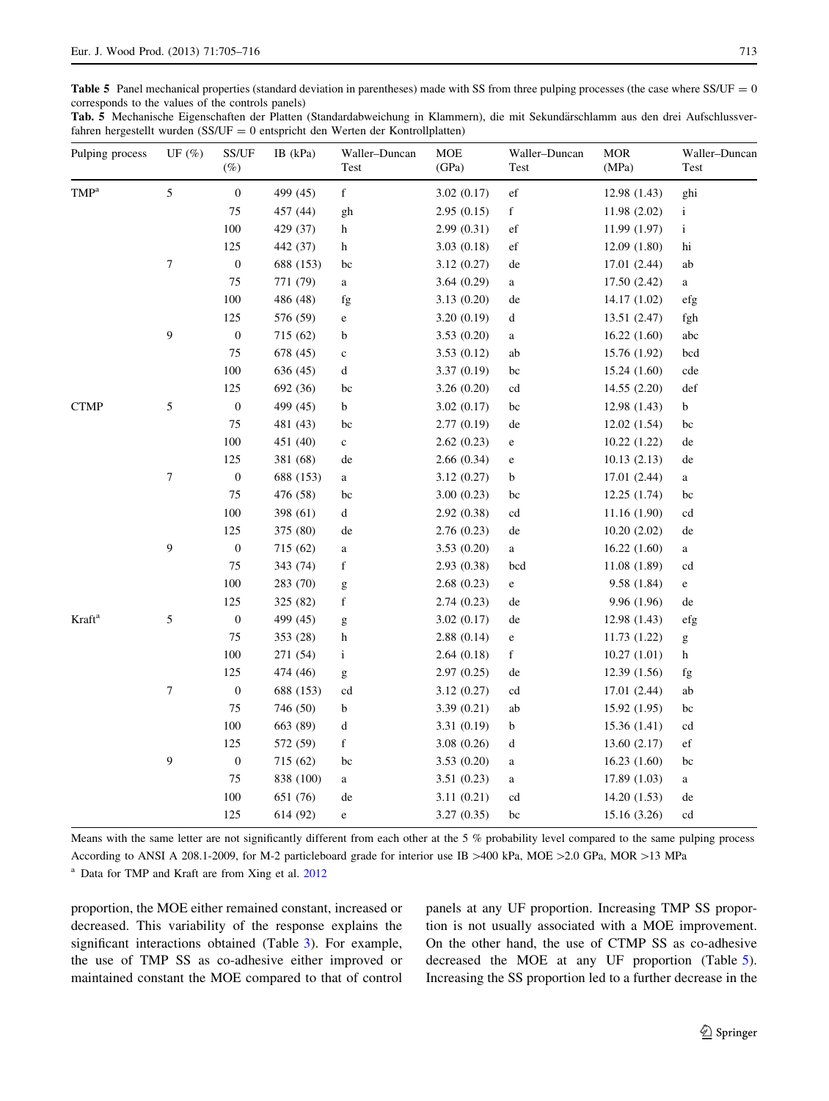<span id="page-8-0"></span>Table 5 Panel mechanical properties (standard deviation in parentheses) made with SS from three pulping processes (the case where SS/UF = 0 corresponds to the values of the controls panels)

Tab. 5 Mechanische Eigenschaften der Platten (Standardabweichung in Klammern), die mit Sekundärschlamm aus den drei Aufschlussverfahren hergestellt wurden (SS/UF = 0 entspricht den Werten der Kontrollplatten)

| Pulping process    | UF $(\%)$        | SS/UF<br>$(\%)$  | IB (kPa)  | Waller-Duncan<br>Test | MOE<br>(GPa) | Waller-Duncan<br>Test                 | <b>MOR</b><br>(MPa) | Waller-Duncan<br>Test                                 |
|--------------------|------------------|------------------|-----------|-----------------------|--------------|---------------------------------------|---------------------|-------------------------------------------------------|
| TMP <sup>a</sup>   | 5                | $\boldsymbol{0}$ | 499 (45)  | $\mathbf f$           | 3.02(0.17)   | ef                                    | 12.98 (1.43)        | ghi                                                   |
|                    |                  | 75               | 457 (44)  | gh                    | 2.95(0.15)   | f                                     | 11.98 (2.02)        | $\mathbf{i}$                                          |
|                    |                  | 100              | 429 (37)  | h                     | 2.99(0.31)   | ef                                    | 11.99(1.97)         | $\mathbf{i}$                                          |
|                    |                  | 125              | 442 (37)  | h                     | 3.03(0.18)   | ef                                    | 12.09(1.80)         | hi                                                    |
|                    | $\tau$           | $\boldsymbol{0}$ | 688 (153) | bc                    | 3.12(0.27)   | de                                    | 17.01 (2.44)        | ab                                                    |
|                    |                  | 75               | 771 (79)  | $\rm{a}$              | 3.64(0.29)   | $\mathbf{a}$                          | 17.50 (2.42)        | $\mathbf{a}$                                          |
|                    |                  | 100              | 486 (48)  | fg                    | 3.13 (0.20)  | de                                    | 14.17 (1.02)        | efg                                                   |
|                    |                  | 125              | 576 (59)  | e                     | 3.20(0.19)   | d                                     | 13.51 (2.47)        | fgh                                                   |
|                    | $\boldsymbol{9}$ | $\boldsymbol{0}$ | 715 (62)  | b                     | 3.53(0.20)   | a                                     | 16.22(1.60)         | abc                                                   |
|                    |                  | 75               | 678 (45)  | $\mathbf c$           | 3.53(0.12)   | ab                                    | 15.76 (1.92)        | bcd                                                   |
|                    |                  | $100\,$          | 636 (45)  | d                     | 3.37(0.19)   | bc                                    | 15.24(1.60)         | cde                                                   |
|                    |                  | 125              | 692 (36)  | bc                    | 3.26 (0.20)  | cd                                    | 14.55 (2.20)        | $\operatorname{def}$                                  |
| <b>CTMP</b>        | 5                | $\boldsymbol{0}$ | 499 (45)  | b                     | 3.02(0.17)   | bc                                    | 12.98(1.43)         | $\mathbf b$                                           |
|                    |                  | 75               | 481 (43)  | bc                    | 2.77(0.19)   | de                                    | 12.02 (1.54)        | bc                                                    |
|                    |                  | $100\,$          | 451 (40)  | $\mathbf c$           | 2.62(0.23)   | ${\bf e}$                             | 10.22(1.22)         | de                                                    |
|                    |                  | 125              | 381 (68)  | de                    | 2.66(0.34)   | ${\bf e}$                             | 10.13(2.13)         | de                                                    |
|                    | $\boldsymbol{7}$ | $\boldsymbol{0}$ | 688 (153) | $\mathbf{a}$          | 3.12(0.27)   | b                                     | 17.01 (2.44)        | $\rm{a}$                                              |
|                    |                  | 75               | 476 (58)  | bc                    | 3.00(0.23)   | bc                                    | 12.25(1.74)         | bc                                                    |
|                    |                  | 100              | 398 (61)  | d                     | 2.92 (0.38)  | cd                                    | 11.16(1.90)         | cd                                                    |
|                    |                  | 125              | 375 (80)  | de                    | 2.76(0.23)   | de                                    | 10.20(2.02)         | de                                                    |
|                    | 9                | $\boldsymbol{0}$ | 715 (62)  | $\rm{a}$              | 3.53 (0.20)  | $\mathbf{a}$                          | 16.22(1.60)         | $\mathbf{a}$                                          |
|                    |                  | 75               | 343 (74)  | f                     | 2.93(0.38)   | bcd                                   | 11.08 (1.89)        | cd                                                    |
|                    |                  | 100              | 283 (70)  | g                     | 2.68(0.23)   | $\mathbf e$                           | 9.58 (1.84)         | $\mathbf{e}% _{t}\left( t\right)$                     |
|                    |                  | 125              | 325 (82)  | $\mathbf f$           | 2.74(0.23)   | de                                    | 9.96 (1.96)         | de                                                    |
| Kraft <sup>a</sup> | 5                | $\boldsymbol{0}$ | 499 (45)  | g                     | 3.02(0.17)   | de                                    | 12.98(1.43)         | efg                                                   |
|                    |                  | 75               | 353 (28)  | h                     | 2.88(0.14)   | $\mathbf{e}% _{t}\left( t_{0}\right)$ | 11.73 (1.22)        | $\mathbf{g}% _{0}\left( \mathbf{r},\mathbf{r}\right)$ |
|                    |                  | $100\,$          | 271 (54)  | $\rm i$               | 2.64(0.18)   | f                                     | 10.27(1.01)         | h                                                     |
|                    |                  | 125              | 474 (46)  | g                     | 2.97(0.25)   | de                                    | 12.39(1.56)         | fg                                                    |
|                    | 7                | $\boldsymbol{0}$ | 688 (153) | cd                    | 3.12(0.27)   | cd                                    | 17.01(2.44)         | ab                                                    |
|                    |                  | $75\,$           | 746 (50)  | b                     | 3.39 (0.21)  | ab                                    | 15.92(1.95)         | bc                                                    |
|                    |                  | 100              | 663 (89)  | d                     | 3.31 (0.19)  | b                                     | 15.36(1.41)         | cd                                                    |
|                    |                  | 125              | 572 (59)  | $\mathbf f$           | 3.08(0.26)   | d                                     | 13.60(2.17)         | ef                                                    |
|                    | 9                | $\boldsymbol{0}$ | 715 (62)  | bc                    | 3.53 (0.20)  | $\rm{a}$                              | 16.23(1.60)         | bc                                                    |
|                    |                  | 75               | 838 (100) | $\mathbf{a}$          | 3.51 (0.23)  | $\rm{a}$                              | 17.89 (1.03)        | $\rm{a}$                                              |
|                    |                  | $100\,$          | 651 (76)  | de                    | 3.11(0.21)   | cd                                    | 14.20(1.53)         | de                                                    |
|                    |                  | 125              | 614 (92)  | e                     | 3.27 (0.35)  | bc                                    | 15.16 (3.26)        | cd                                                    |

Means with the same letter are not significantly different from each other at the 5 % probability level compared to the same pulping process According to ANSI A 208.1-2009, for M-2 particleboard grade for interior use IB >400 kPa, MOE >2.0 GPa, MOR >13 MPa <sup>a</sup> Data for TMP and Kraft are from Xing et al. [2012](#page-11-0)

proportion, the MOE either remained constant, increased or decreased. This variability of the response explains the significant interactions obtained (Table [3](#page-5-0)). For example, the use of TMP SS as co-adhesive either improved or maintained constant the MOE compared to that of control panels at any UF proportion. Increasing TMP SS proportion is not usually associated with a MOE improvement. On the other hand, the use of CTMP SS as co-adhesive decreased the MOE at any UF proportion (Table 5). Increasing the SS proportion led to a further decrease in the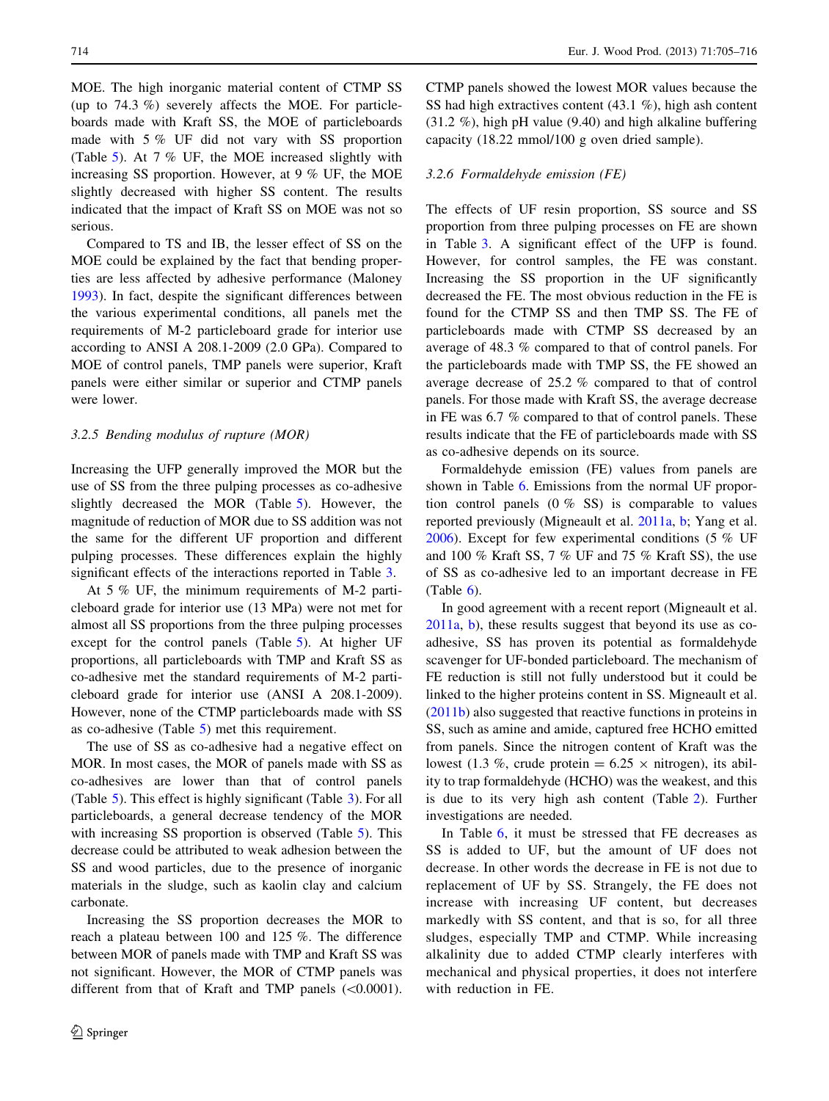MOE. The high inorganic material content of CTMP SS (up to 74.3 %) severely affects the MOE. For particleboards made with Kraft SS, the MOE of particleboards made with 5 % UF did not vary with SS proportion (Table [5](#page-8-0)). At 7 % UF, the MOE increased slightly with increasing SS proportion. However, at 9 % UF, the MOE slightly decreased with higher SS content. The results indicated that the impact of Kraft SS on MOE was not so serious.

Compared to TS and IB, the lesser effect of SS on the MOE could be explained by the fact that bending properties are less affected by adhesive performance (Maloney [1993\)](#page-10-0). In fact, despite the significant differences between the various experimental conditions, all panels met the requirements of M-2 particleboard grade for interior use according to ANSI A 208.1-2009 (2.0 GPa). Compared to MOE of control panels, TMP panels were superior, Kraft panels were either similar or superior and CTMP panels were lower.

#### 3.2.5 Bending modulus of rupture (MOR)

Increasing the UFP generally improved the MOR but the use of SS from the three pulping processes as co-adhesive slightly decreased the MOR (Table [5\)](#page-8-0). However, the magnitude of reduction of MOR due to SS addition was not the same for the different UF proportion and different pulping processes. These differences explain the highly significant effects of the interactions reported in Table [3](#page-5-0).

At 5 % UF, the minimum requirements of M-2 particleboard grade for interior use (13 MPa) were not met for almost all SS proportions from the three pulping processes except for the control panels (Table [5\)](#page-8-0). At higher UF proportions, all particleboards with TMP and Kraft SS as co-adhesive met the standard requirements of M-2 particleboard grade for interior use (ANSI A 208.1-2009). However, none of the CTMP particleboards made with SS as co-adhesive (Table [5](#page-8-0)) met this requirement.

The use of SS as co-adhesive had a negative effect on MOR. In most cases, the MOR of panels made with SS as co-adhesives are lower than that of control panels (Table [5](#page-8-0)). This effect is highly significant (Table [3\)](#page-5-0). For all particleboards, a general decrease tendency of the MOR with increasing SS proportion is observed (Table [5\)](#page-8-0). This decrease could be attributed to weak adhesion between the SS and wood particles, due to the presence of inorganic materials in the sludge, such as kaolin clay and calcium carbonate.

Increasing the SS proportion decreases the MOR to reach a plateau between 100 and 125 %. The difference between MOR of panels made with TMP and Kraft SS was not significant. However, the MOR of CTMP panels was different from that of Kraft and TMP panels  $(<0.0001$ ). CTMP panels showed the lowest MOR values because the SS had high extractives content (43.1 %), high ash content (31.2 %), high pH value (9.40) and high alkaline buffering capacity (18.22 mmol/100 g oven dried sample).

#### 3.2.6 Formaldehyde emission (FE)

The effects of UF resin proportion, SS source and SS proportion from three pulping processes on FE are shown in Table [3](#page-5-0). A significant effect of the UFP is found. However, for control samples, the FE was constant. Increasing the SS proportion in the UF significantly decreased the FE. The most obvious reduction in the FE is found for the CTMP SS and then TMP SS. The FE of particleboards made with CTMP SS decreased by an average of 48.3 % compared to that of control panels. For the particleboards made with TMP SS, the FE showed an average decrease of 25.2 % compared to that of control panels. For those made with Kraft SS, the average decrease in FE was 6.7 % compared to that of control panels. These results indicate that the FE of particleboards made with SS as co-adhesive depends on its source.

Formaldehyde emission (FE) values from panels are shown in Table [6.](#page-10-0) Emissions from the normal UF proportion control panels (0 % SS) is comparable to values reported previously (Migneault et al. [2011a](#page-11-0), [b;](#page-11-0) Yang et al. [2006](#page-11-0)). Except for few experimental conditions (5 % UF and 100 % Kraft SS, 7 % UF and 75 % Kraft SS), the use of SS as co-adhesive led to an important decrease in FE (Table [6\)](#page-10-0).

In good agreement with a recent report (Migneault et al. [2011a,](#page-11-0) [b\)](#page-11-0), these results suggest that beyond its use as coadhesive, SS has proven its potential as formaldehyde scavenger for UF-bonded particleboard. The mechanism of FE reduction is still not fully understood but it could be linked to the higher proteins content in SS. Migneault et al. [\(2011b](#page-11-0)) also suggested that reactive functions in proteins in SS, such as amine and amide, captured free HCHO emitted from panels. Since the nitrogen content of Kraft was the lowest (1.3 %, crude protein =  $6.25 \times$  nitrogen), its ability to trap formaldehyde (HCHO) was the weakest, and this is due to its very high ash content (Table [2](#page-4-0)). Further investigations are needed.

In Table [6](#page-10-0), it must be stressed that FE decreases as SS is added to UF, but the amount of UF does not decrease. In other words the decrease in FE is not due to replacement of UF by SS. Strangely, the FE does not increase with increasing UF content, but decreases markedly with SS content, and that is so, for all three sludges, especially TMP and CTMP. While increasing alkalinity due to added CTMP clearly interferes with mechanical and physical properties, it does not interfere with reduction in FE.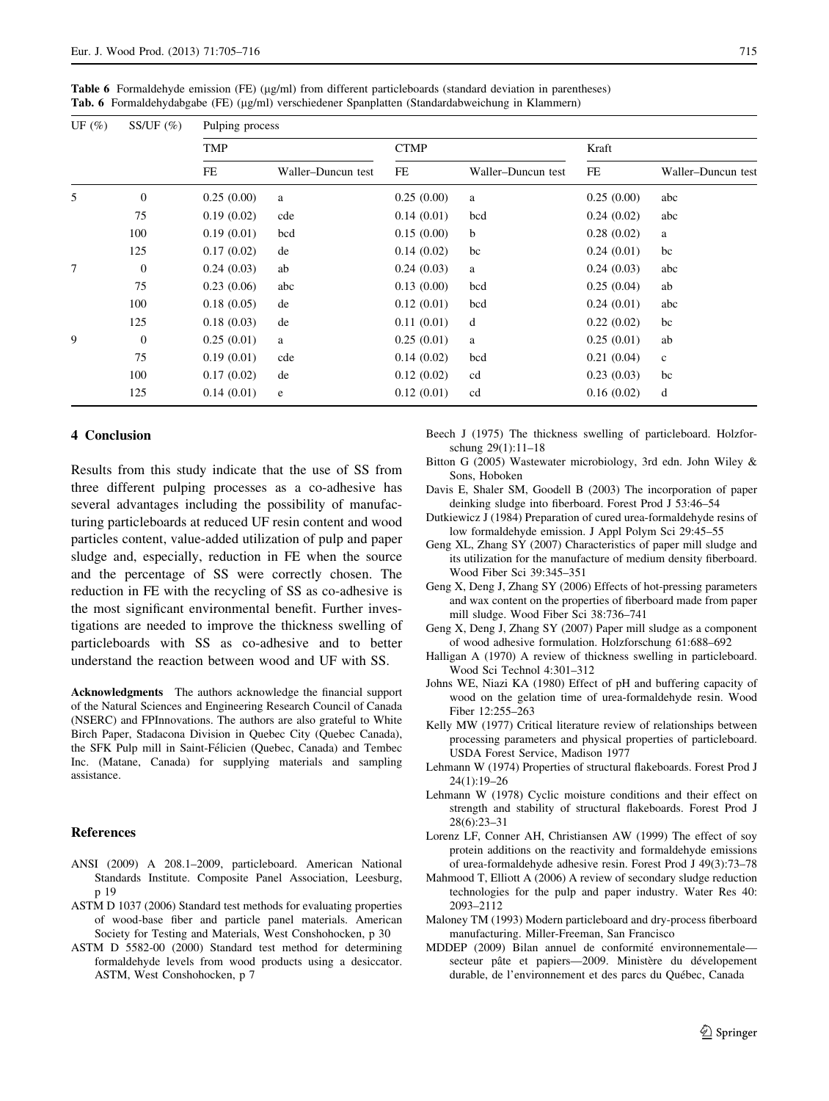<span id="page-10-0"></span>

| <b>Table 6</b> Formaldehyde emission (FE) (µg/ml) from different particleboards (standard deviation in parentheses) |  |  |  |
|---------------------------------------------------------------------------------------------------------------------|--|--|--|
| <b>Tab. 6</b> Formaldehydabgabe (FE) (µg/ml) verschiedener Spanplatten (Standardabweichung in Klammern)             |  |  |  |

| UF $(\%)$ | SS/UF(%)         | Pulping process |                    |             |                    |            |                    |  |  |
|-----------|------------------|-----------------|--------------------|-------------|--------------------|------------|--------------------|--|--|
|           |                  | TMP             |                    | <b>CTMP</b> |                    | Kraft      |                    |  |  |
|           |                  | FE              | Waller-Duncun test | FE          | Waller-Duncun test | FE         | Waller-Duncun test |  |  |
| 5         | $\boldsymbol{0}$ | 0.25(0.00)      | a                  | 0.25(0.00)  | a                  | 0.25(0.00) | abc                |  |  |
|           | 75               | 0.19(0.02)      | cde                | 0.14(0.01)  | bcd                | 0.24(0.02) | abc                |  |  |
|           | 100              | 0.19(0.01)      | bcd                | 0.15(0.00)  | b                  | 0.28(0.02) | a                  |  |  |
|           | 125              | 0.17(0.02)      | de                 | 0.14(0.02)  | bc                 | 0.24(0.01) | bc                 |  |  |
| 7         | $\boldsymbol{0}$ | 0.24(0.03)      | ab                 | 0.24(0.03)  | a                  | 0.24(0.03) | abc                |  |  |
|           | 75               | 0.23(0.06)      | abc                | 0.13(0.00)  | bcd                | 0.25(0.04) | ab                 |  |  |
|           | 100              | 0.18(0.05)      | de                 | 0.12(0.01)  | bcd                | 0.24(0.01) | abc                |  |  |
|           | 125              | 0.18(0.03)      | de                 | 0.11(0.01)  | d                  | 0.22(0.02) | bc                 |  |  |
| 9         | $\boldsymbol{0}$ | 0.25(0.01)      | a                  | 0.25(0.01)  | a                  | 0.25(0.01) | ab                 |  |  |
|           | 75               | 0.19(0.01)      | cde                | 0.14(0.02)  | bcd                | 0.21(0.04) | $\mathbf c$        |  |  |
|           | 100              | 0.17(0.02)      | de                 | 0.12(0.02)  | cd                 | 0.23(0.03) | bc                 |  |  |
|           | 125              | 0.14(0.01)      | e                  | 0.12(0.01)  | cd                 | 0.16(0.02) | d                  |  |  |

## 4 Conclusion

Results from this study indicate that the use of SS from three different pulping processes as a co-adhesive has several advantages including the possibility of manufacturing particleboards at reduced UF resin content and wood particles content, value-added utilization of pulp and paper sludge and, especially, reduction in FE when the source and the percentage of SS were correctly chosen. The reduction in FE with the recycling of SS as co-adhesive is the most significant environmental benefit. Further investigations are needed to improve the thickness swelling of particleboards with SS as co-adhesive and to better understand the reaction between wood and UF with SS.

Acknowledgments The authors acknowledge the financial support of the Natural Sciences and Engineering Research Council of Canada (NSERC) and FPInnovations. The authors are also grateful to White Birch Paper, Stadacona Division in Quebec City (Quebec Canada), the SFK Pulp mill in Saint-Félicien (Quebec, Canada) and Tembec Inc. (Matane, Canada) for supplying materials and sampling assistance.

#### References

- ANSI (2009) A 208.1–2009, particleboard. American National Standards Institute. Composite Panel Association, Leesburg, p 19
- ASTM D 1037 (2006) Standard test methods for evaluating properties of wood-base fiber and particle panel materials. American Society for Testing and Materials, West Conshohocken, p 30
- ASTM D 5582-00 (2000) Standard test method for determining formaldehyde levels from wood products using a desiccator. ASTM, West Conshohocken, p 7

Beech J (1975) The thickness swelling of particleboard. Holzforschung 29(1):11–18

- Bitton G (2005) Wastewater microbiology, 3rd edn. John Wiley & Sons, Hoboken
- Davis E, Shaler SM, Goodell B (2003) The incorporation of paper deinking sludge into fiberboard. Forest Prod J 53:46–54
- Dutkiewicz J (1984) Preparation of cured urea-formaldehyde resins of low formaldehyde emission. J Appl Polym Sci 29:45–55
- Geng XL, Zhang SY (2007) Characteristics of paper mill sludge and its utilization for the manufacture of medium density fiberboard. Wood Fiber Sci 39:345–351
- Geng X, Deng J, Zhang SY (2006) Effects of hot-pressing parameters and wax content on the properties of fiberboard made from paper mill sludge. Wood Fiber Sci 38:736–741
- Geng X, Deng J, Zhang SY (2007) Paper mill sludge as a component of wood adhesive formulation. Holzforschung 61:688–692
- Halligan A (1970) A review of thickness swelling in particleboard. Wood Sci Technol 4:301–312
- Johns WE, Niazi KA (1980) Effect of pH and buffering capacity of wood on the gelation time of urea-formaldehyde resin. Wood Fiber 12:255–263
- Kelly MW (1977) Critical literature review of relationships between processing parameters and physical properties of particleboard. USDA Forest Service, Madison 1977
- Lehmann W (1974) Properties of structural flakeboards. Forest Prod J 24(1):19–26
- Lehmann W (1978) Cyclic moisture conditions and their effect on strength and stability of structural flakeboards. Forest Prod J 28(6):23–31
- Lorenz LF, Conner AH, Christiansen AW (1999) The effect of soy protein additions on the reactivity and formaldehyde emissions of urea-formaldehyde adhesive resin. Forest Prod J 49(3):73–78
- Mahmood T, Elliott A (2006) A review of secondary sludge reduction technologies for the pulp and paper industry. Water Res 40: 2093–2112
- Maloney TM (1993) Modern particleboard and dry-process fiberboard manufacturing. Miller-Freeman, San Francisco
- MDDEP (2009) Bilan annuel de conformité environnementalesecteur pâte et papiers—2009. Ministère du dévelopement durable, de l'environnement et des parcs du Québec, Canada